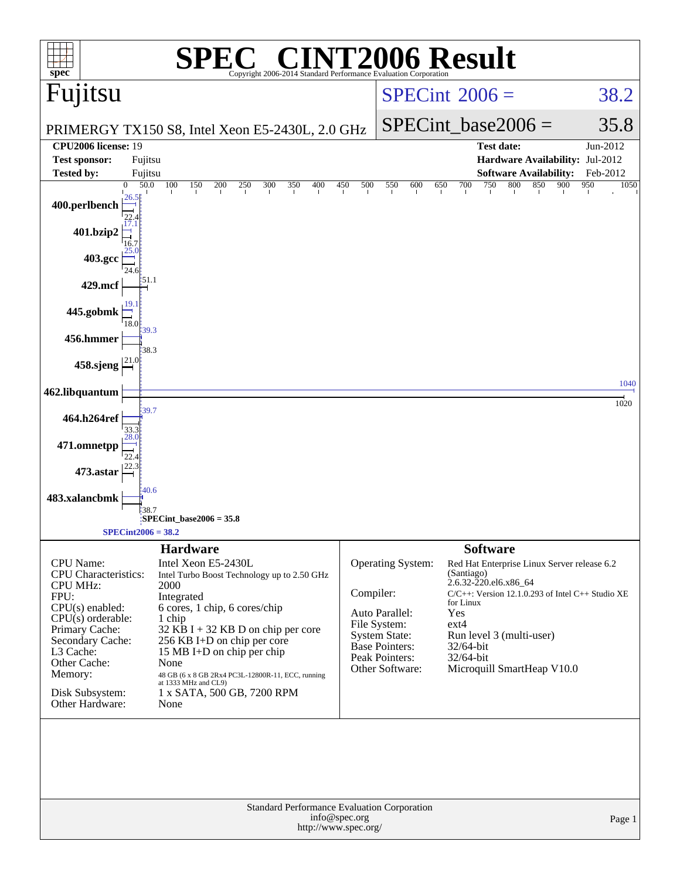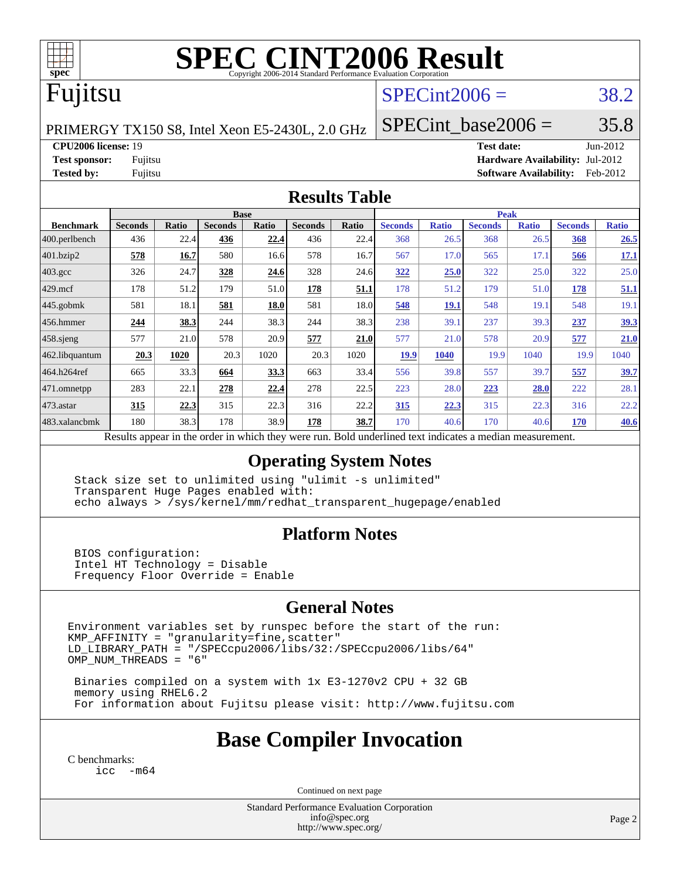

# **[SPEC CINT2006 Result](http://www.spec.org/auto/cpu2006/Docs/result-fields.html#SPECCINT2006Result)**

# Fujitsu

### $SPECint2006 = 38.2$  $SPECint2006 = 38.2$

PRIMERGY TX150 S8, Intel Xeon E5-2430L, 2.0 GHz

SPECint base2006 =  $35.8$ 

**[CPU2006 license:](http://www.spec.org/auto/cpu2006/Docs/result-fields.html#CPU2006license)** 19 **[Test date:](http://www.spec.org/auto/cpu2006/Docs/result-fields.html#Testdate)** Jun-2012

**[Test sponsor:](http://www.spec.org/auto/cpu2006/Docs/result-fields.html#Testsponsor)** Fujitsu **[Hardware Availability:](http://www.spec.org/auto/cpu2006/Docs/result-fields.html#HardwareAvailability)** Jul-2012 **[Tested by:](http://www.spec.org/auto/cpu2006/Docs/result-fields.html#Testedby)** Fujitsu **[Software Availability:](http://www.spec.org/auto/cpu2006/Docs/result-fields.html#SoftwareAvailability)** Feb-2012

#### **[Results Table](http://www.spec.org/auto/cpu2006/Docs/result-fields.html#ResultsTable)**

|                                                                                                          |                |              | <b>Base</b>    |       |                |              | <b>Peak</b>    |              |                |              |                |              |
|----------------------------------------------------------------------------------------------------------|----------------|--------------|----------------|-------|----------------|--------------|----------------|--------------|----------------|--------------|----------------|--------------|
| <b>Benchmark</b>                                                                                         | <b>Seconds</b> | <b>Ratio</b> | <b>Seconds</b> | Ratio | <b>Seconds</b> | <b>Ratio</b> | <b>Seconds</b> | <b>Ratio</b> | <b>Seconds</b> | <b>Ratio</b> | <b>Seconds</b> | <b>Ratio</b> |
| $ 400$ .perlbench                                                                                        | 436            | 22.4         | 436            | 22.4  | 436            | 22.4         | 368            | 26.5         | 368            | 26.5         | 368            | 26.5         |
| 401.bzip2                                                                                                | 578            | 16.7         | 580            | 16.6  | 578            | 16.7         | 567            | 17.0         | 565            | 17.1         | 566            | <b>17.1</b>  |
| $403.\mathrm{gcc}$                                                                                       | 326            | 24.7         | 328            | 24.6  | 328            | 24.6         | 322            | 25.0         | 322            | 25.0         | 322            | 25.0         |
| $429$ mcf                                                                                                | 178            | 51.2         | 179            | 51.0  | 178            | 51.1         | 178            | 51.2         | 179            | 51.0         | 178            | 51.1         |
| $445$ .gobmk                                                                                             | 581            | 18.1         | 581            | 18.0  | 581            | 18.0         | 548            | 19.1         | 548            | 19.1         | 548            | 19.1         |
| 456.hmmer                                                                                                | 244            | 38.3         | 244            | 38.3  | 244            | 38.3         | 238            | 39.1         | 237            | 39.3         | 237            | <u>39.3</u>  |
| $458$ .sjeng                                                                                             | 577            | 21.0         | 578            | 20.9  | 577            | 21.0         | 577            | 21.0         | 578            | 20.9         | 577            | 21.0         |
| 462.libquantum                                                                                           | 20.3           | 1020         | 20.3           | 1020  | 20.3           | 1020         | <u>19.9</u>    | 1040         | 19.9           | 1040         | 19.9           | 1040         |
| 464.h264ref                                                                                              | 665            | 33.3         | 664            | 33.3  | 663            | 33.4         | 556            | 39.8         | 557            | 39.7         | 557            | <u>39.7</u>  |
| $ 471$ .omnetpp                                                                                          | 283            | 22.1         | 278            | 22.4  | 278            | 22.5         | 223            | 28.0         | 223            | 28.0         | 222            | 28.1         |
| $473$ . astar                                                                                            | 315            | 22.3         | 315            | 22.3  | 316            | 22.2         | 315            | 22.3         | 315            | 22.3         | 316            | 22.2         |
| 483.xalancbmk                                                                                            | 180            | 38.3         | 178            | 38.9  | 178            | 38.7         | 170            | 40.6         | 170            | 40.6         | 170            | 40.6         |
| Results appear in the order in which they were run. Bold underlined text indicates a median measurement. |                |              |                |       |                |              |                |              |                |              |                |              |

#### **[Operating System Notes](http://www.spec.org/auto/cpu2006/Docs/result-fields.html#OperatingSystemNotes)**

 Stack size set to unlimited using "ulimit -s unlimited" Transparent Huge Pages enabled with: echo always > /sys/kernel/mm/redhat\_transparent\_hugepage/enabled

### **[Platform Notes](http://www.spec.org/auto/cpu2006/Docs/result-fields.html#PlatformNotes)**

 BIOS configuration: Intel HT Technology = Disable Frequency Floor Override = Enable

### **[General Notes](http://www.spec.org/auto/cpu2006/Docs/result-fields.html#GeneralNotes)**

Environment variables set by runspec before the start of the run:  $KMP_A$ FFINITY = "granularity=fine, scatter" LD\_LIBRARY\_PATH = "/SPECcpu2006/libs/32:/SPECcpu2006/libs/64" OMP\_NUM\_THREADS = "6"

 Binaries compiled on a system with 1x E3-1270v2 CPU + 32 GB memory using RHEL6.2 For information about Fujitsu please visit: <http://www.fujitsu.com>

# **[Base Compiler Invocation](http://www.spec.org/auto/cpu2006/Docs/result-fields.html#BaseCompilerInvocation)**

[C benchmarks](http://www.spec.org/auto/cpu2006/Docs/result-fields.html#Cbenchmarks): [icc -m64](http://www.spec.org/cpu2006/results/res2012q3/cpu2006-20120810-24121.flags.html#user_CCbase_intel_icc_64bit_f346026e86af2a669e726fe758c88044)

Continued on next page

Standard Performance Evaluation Corporation [info@spec.org](mailto:info@spec.org) <http://www.spec.org/>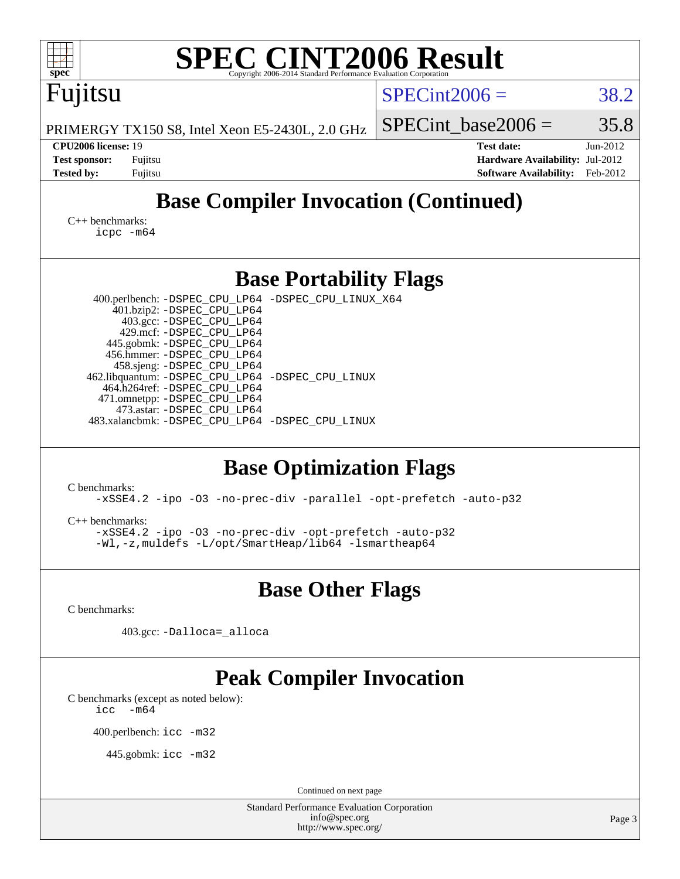| <b>SPEC CINT2006 Result</b><br>spec <sup>®</sup><br>Copyright 2006-2014 Standard Performance Evaluation Corporation                                                                                                                                                                                                                                                                                                                                                                                                                                                                                                                                                                                           |                                                                                                               |
|---------------------------------------------------------------------------------------------------------------------------------------------------------------------------------------------------------------------------------------------------------------------------------------------------------------------------------------------------------------------------------------------------------------------------------------------------------------------------------------------------------------------------------------------------------------------------------------------------------------------------------------------------------------------------------------------------------------|---------------------------------------------------------------------------------------------------------------|
| Fujitsu                                                                                                                                                                                                                                                                                                                                                                                                                                                                                                                                                                                                                                                                                                       | $SPECint2006 =$<br>38.2                                                                                       |
| PRIMERGY TX150 S8, Intel Xeon E5-2430L, 2.0 GHz                                                                                                                                                                                                                                                                                                                                                                                                                                                                                                                                                                                                                                                               | 35.8<br>$SPECint base2006 =$                                                                                  |
| CPU2006 license: 19<br><b>Test sponsor:</b><br>Fujitsu<br><b>Tested by:</b><br>Fujitsu                                                                                                                                                                                                                                                                                                                                                                                                                                                                                                                                                                                                                        | <b>Test date:</b><br>Jun-2012<br>Hardware Availability: Jul-2012<br><b>Software Availability:</b><br>Feb-2012 |
| <b>Base Compiler Invocation (Continued)</b>                                                                                                                                                                                                                                                                                                                                                                                                                                                                                                                                                                                                                                                                   |                                                                                                               |
| $C_{++}$ benchmarks:<br>icpc -m64                                                                                                                                                                                                                                                                                                                                                                                                                                                                                                                                                                                                                                                                             |                                                                                                               |
| <b>Base Portability Flags</b>                                                                                                                                                                                                                                                                                                                                                                                                                                                                                                                                                                                                                                                                                 |                                                                                                               |
| 400.perlbench: -DSPEC_CPU_LP64 -DSPEC_CPU_LINUX_X64<br>401.bzip2: -DSPEC_CPU_LP64<br>403.gcc: -DSPEC_CPU_LP64<br>429.mcf: -DSPEC_CPU_LP64<br>445.gobmk: -DSPEC_CPU_LP64<br>456.hmmer: -DSPEC_CPU_LP64<br>458.sjeng: - DSPEC_CPU_LP64<br>462.libquantum: - DSPEC_CPU_LP64 - DSPEC_CPU_LINUX<br>464.h264ref: -DSPEC_CPU_LP64<br>471.omnetpp: - DSPEC_CPU_LP64<br>473.astar: -DSPEC_CPU_LP64<br>483.xalancbmk: -DSPEC_CPU_LP64 -DSPEC_CPU_LINUX<br><b>Base Optimization Flags</b><br>C benchmarks:<br>-xSSE4.2 -ipo -03 -no-prec-div -parallel -opt-prefetch -auto-p32<br>$C_{++}$ benchmarks:<br>-xSSE4.2 -ipo -03 -no-prec-div -opt-prefetch -auto-p32<br>-Wl,-z, muldefs -L/opt/SmartHeap/lib64 -lsmartheap64 |                                                                                                               |
| <b>Base Other Flags</b>                                                                                                                                                                                                                                                                                                                                                                                                                                                                                                                                                                                                                                                                                       |                                                                                                               |
| C benchmarks:<br>403.gcc: -Dalloca=_alloca                                                                                                                                                                                                                                                                                                                                                                                                                                                                                                                                                                                                                                                                    |                                                                                                               |
| <b>Peak Compiler Invocation</b><br>C benchmarks (except as noted below):<br>$-m64$<br>icc<br>400.perlbench: icc -m32<br>445.gobmk: icc -m32                                                                                                                                                                                                                                                                                                                                                                                                                                                                                                                                                                   |                                                                                                               |
|                                                                                                                                                                                                                                                                                                                                                                                                                                                                                                                                                                                                                                                                                                               |                                                                                                               |
| Continued on next page<br><b>Standard Performance Evaluation Corporation</b><br>info@spec.org<br>http://www.spec.org/                                                                                                                                                                                                                                                                                                                                                                                                                                                                                                                                                                                         | Page 3                                                                                                        |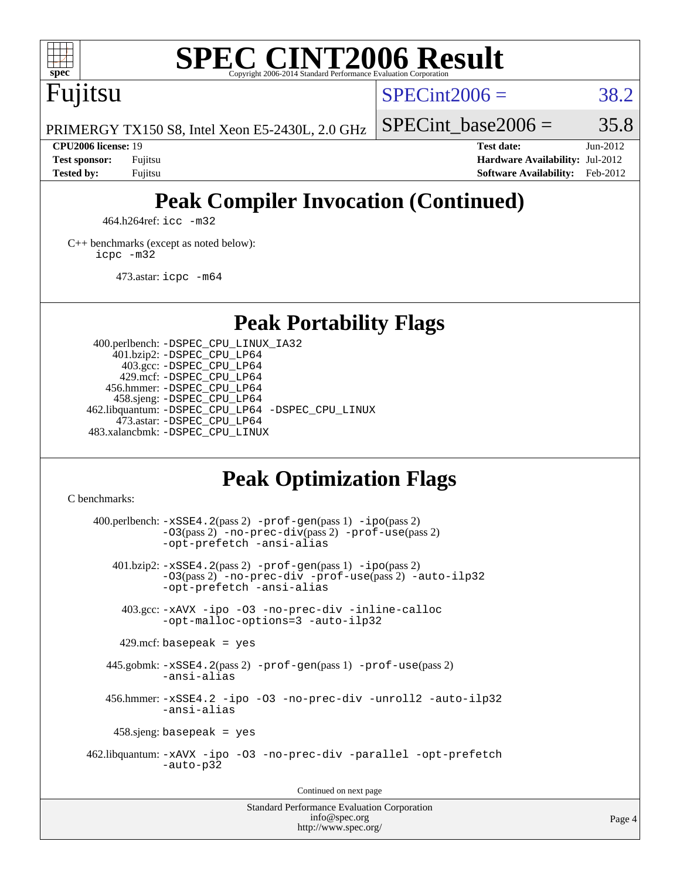

# **[SPEC CINT2006 Result](http://www.spec.org/auto/cpu2006/Docs/result-fields.html#SPECCINT2006Result)**

Fujitsu

 $SPECint2006 = 38.2$  $SPECint2006 = 38.2$ 

SPECint base2006 =  $35.8$ 

PRIMERGY TX150 S8, Intel Xeon E5-2430L, 2.0 GHz

**[Tested by:](http://www.spec.org/auto/cpu2006/Docs/result-fields.html#Testedby)** Fujitsu **[Software Availability:](http://www.spec.org/auto/cpu2006/Docs/result-fields.html#SoftwareAvailability)** Feb-2012

**[CPU2006 license:](http://www.spec.org/auto/cpu2006/Docs/result-fields.html#CPU2006license)** 19 **[Test date:](http://www.spec.org/auto/cpu2006/Docs/result-fields.html#Testdate)** Jun-2012 **[Test sponsor:](http://www.spec.org/auto/cpu2006/Docs/result-fields.html#Testsponsor)** Fujitsu **[Hardware Availability:](http://www.spec.org/auto/cpu2006/Docs/result-fields.html#HardwareAvailability)** Jul-2012

# **[Peak Compiler Invocation \(Continued\)](http://www.spec.org/auto/cpu2006/Docs/result-fields.html#PeakCompilerInvocation)**

464.h264ref: [icc -m32](http://www.spec.org/cpu2006/results/res2012q3/cpu2006-20120810-24121.flags.html#user_peakCCLD464_h264ref_intel_icc_a6a621f8d50482236b970c6ac5f55f93)

[C++ benchmarks \(except as noted below\):](http://www.spec.org/auto/cpu2006/Docs/result-fields.html#CXXbenchmarksexceptasnotedbelow) [icpc -m32](http://www.spec.org/cpu2006/results/res2012q3/cpu2006-20120810-24121.flags.html#user_CXXpeak_intel_icpc_4e5a5ef1a53fd332b3c49e69c3330699)

473.astar: [icpc -m64](http://www.spec.org/cpu2006/results/res2012q3/cpu2006-20120810-24121.flags.html#user_peakCXXLD473_astar_intel_icpc_64bit_fc66a5337ce925472a5c54ad6a0de310)

**[Peak Portability Flags](http://www.spec.org/auto/cpu2006/Docs/result-fields.html#PeakPortabilityFlags)**

 400.perlbench: [-DSPEC\\_CPU\\_LINUX\\_IA32](http://www.spec.org/cpu2006/results/res2012q3/cpu2006-20120810-24121.flags.html#b400.perlbench_peakCPORTABILITY_DSPEC_CPU_LINUX_IA32) 401.bzip2: [-DSPEC\\_CPU\\_LP64](http://www.spec.org/cpu2006/results/res2012q3/cpu2006-20120810-24121.flags.html#suite_peakPORTABILITY401_bzip2_DSPEC_CPU_LP64) 403.gcc: [-DSPEC\\_CPU\\_LP64](http://www.spec.org/cpu2006/results/res2012q3/cpu2006-20120810-24121.flags.html#suite_peakPORTABILITY403_gcc_DSPEC_CPU_LP64) 429.mcf: [-DSPEC\\_CPU\\_LP64](http://www.spec.org/cpu2006/results/res2012q3/cpu2006-20120810-24121.flags.html#suite_peakPORTABILITY429_mcf_DSPEC_CPU_LP64) 456.hmmer: [-DSPEC\\_CPU\\_LP64](http://www.spec.org/cpu2006/results/res2012q3/cpu2006-20120810-24121.flags.html#suite_peakPORTABILITY456_hmmer_DSPEC_CPU_LP64) 458.sjeng: [-DSPEC\\_CPU\\_LP64](http://www.spec.org/cpu2006/results/res2012q3/cpu2006-20120810-24121.flags.html#suite_peakPORTABILITY458_sjeng_DSPEC_CPU_LP64) 462.libquantum: [-DSPEC\\_CPU\\_LP64](http://www.spec.org/cpu2006/results/res2012q3/cpu2006-20120810-24121.flags.html#suite_peakPORTABILITY462_libquantum_DSPEC_CPU_LP64) [-DSPEC\\_CPU\\_LINUX](http://www.spec.org/cpu2006/results/res2012q3/cpu2006-20120810-24121.flags.html#b462.libquantum_peakCPORTABILITY_DSPEC_CPU_LINUX) 473.astar: [-DSPEC\\_CPU\\_LP64](http://www.spec.org/cpu2006/results/res2012q3/cpu2006-20120810-24121.flags.html#suite_peakPORTABILITY473_astar_DSPEC_CPU_LP64) 483.xalancbmk: [-DSPEC\\_CPU\\_LINUX](http://www.spec.org/cpu2006/results/res2012q3/cpu2006-20120810-24121.flags.html#b483.xalancbmk_peakCXXPORTABILITY_DSPEC_CPU_LINUX)

# **[Peak Optimization Flags](http://www.spec.org/auto/cpu2006/Docs/result-fields.html#PeakOptimizationFlags)**

[C benchmarks](http://www.spec.org/auto/cpu2006/Docs/result-fields.html#Cbenchmarks):

 $400.$ perlbench:  $-xSSE4$ .  $2(pass 2)$  -prof-qen(pass 1) [-ipo](http://www.spec.org/cpu2006/results/res2012q3/cpu2006-20120810-24121.flags.html#user_peakPASS2_CFLAGSPASS2_LDCFLAGS400_perlbench_f-ipo)(pass 2) [-O3](http://www.spec.org/cpu2006/results/res2012q3/cpu2006-20120810-24121.flags.html#user_peakPASS2_CFLAGSPASS2_LDCFLAGS400_perlbench_f-O3)(pass 2) [-no-prec-div](http://www.spec.org/cpu2006/results/res2012q3/cpu2006-20120810-24121.flags.html#user_peakPASS2_CFLAGSPASS2_LDCFLAGS400_perlbench_f-no-prec-div)(pass 2) [-prof-use](http://www.spec.org/cpu2006/results/res2012q3/cpu2006-20120810-24121.flags.html#user_peakPASS2_CFLAGSPASS2_LDCFLAGS400_perlbench_prof_use_bccf7792157ff70d64e32fe3e1250b55)(pass 2) [-opt-prefetch](http://www.spec.org/cpu2006/results/res2012q3/cpu2006-20120810-24121.flags.html#user_peakCOPTIMIZE400_perlbench_f-opt-prefetch) [-ansi-alias](http://www.spec.org/cpu2006/results/res2012q3/cpu2006-20120810-24121.flags.html#user_peakCOPTIMIZE400_perlbench_f-ansi-alias) 401.bzip2: [-xSSE4.2](http://www.spec.org/cpu2006/results/res2012q3/cpu2006-20120810-24121.flags.html#user_peakPASS2_CFLAGSPASS2_LDCFLAGS401_bzip2_f-xSSE42_f91528193cf0b216347adb8b939d4107)(pass 2) [-prof-gen](http://www.spec.org/cpu2006/results/res2012q3/cpu2006-20120810-24121.flags.html#user_peakPASS1_CFLAGSPASS1_LDCFLAGS401_bzip2_prof_gen_e43856698f6ca7b7e442dfd80e94a8fc)(pass 1) [-ipo](http://www.spec.org/cpu2006/results/res2012q3/cpu2006-20120810-24121.flags.html#user_peakPASS2_CFLAGSPASS2_LDCFLAGS401_bzip2_f-ipo)(pass 2) [-O3](http://www.spec.org/cpu2006/results/res2012q3/cpu2006-20120810-24121.flags.html#user_peakPASS2_CFLAGSPASS2_LDCFLAGS401_bzip2_f-O3)(pass 2) [-no-prec-div](http://www.spec.org/cpu2006/results/res2012q3/cpu2006-20120810-24121.flags.html#user_peakCOPTIMIZEPASS2_CFLAGSPASS2_LDCFLAGS401_bzip2_f-no-prec-div) [-prof-use](http://www.spec.org/cpu2006/results/res2012q3/cpu2006-20120810-24121.flags.html#user_peakPASS2_CFLAGSPASS2_LDCFLAGS401_bzip2_prof_use_bccf7792157ff70d64e32fe3e1250b55)(pass 2) [-auto-ilp32](http://www.spec.org/cpu2006/results/res2012q3/cpu2006-20120810-24121.flags.html#user_peakCOPTIMIZE401_bzip2_f-auto-ilp32) [-opt-prefetch](http://www.spec.org/cpu2006/results/res2012q3/cpu2006-20120810-24121.flags.html#user_peakCOPTIMIZE401_bzip2_f-opt-prefetch) [-ansi-alias](http://www.spec.org/cpu2006/results/res2012q3/cpu2006-20120810-24121.flags.html#user_peakCOPTIMIZE401_bzip2_f-ansi-alias) 403.gcc: [-xAVX](http://www.spec.org/cpu2006/results/res2012q3/cpu2006-20120810-24121.flags.html#user_peakCOPTIMIZE403_gcc_f-xAVX) [-ipo](http://www.spec.org/cpu2006/results/res2012q3/cpu2006-20120810-24121.flags.html#user_peakCOPTIMIZE403_gcc_f-ipo) [-O3](http://www.spec.org/cpu2006/results/res2012q3/cpu2006-20120810-24121.flags.html#user_peakCOPTIMIZE403_gcc_f-O3) [-no-prec-div](http://www.spec.org/cpu2006/results/res2012q3/cpu2006-20120810-24121.flags.html#user_peakCOPTIMIZE403_gcc_f-no-prec-div) [-inline-calloc](http://www.spec.org/cpu2006/results/res2012q3/cpu2006-20120810-24121.flags.html#user_peakCOPTIMIZE403_gcc_f-inline-calloc) [-opt-malloc-options=3](http://www.spec.org/cpu2006/results/res2012q3/cpu2006-20120810-24121.flags.html#user_peakCOPTIMIZE403_gcc_f-opt-malloc-options_13ab9b803cf986b4ee62f0a5998c2238) [-auto-ilp32](http://www.spec.org/cpu2006/results/res2012q3/cpu2006-20120810-24121.flags.html#user_peakCOPTIMIZE403_gcc_f-auto-ilp32)  $429$ .mcf: basepeak = yes 445.gobmk: [-xSSE4.2](http://www.spec.org/cpu2006/results/res2012q3/cpu2006-20120810-24121.flags.html#user_peakPASS2_CFLAGSPASS2_LDCFLAGS445_gobmk_f-xSSE42_f91528193cf0b216347adb8b939d4107)(pass 2) [-prof-gen](http://www.spec.org/cpu2006/results/res2012q3/cpu2006-20120810-24121.flags.html#user_peakPASS1_CFLAGSPASS1_LDCFLAGS445_gobmk_prof_gen_e43856698f6ca7b7e442dfd80e94a8fc)(pass 1) [-prof-use](http://www.spec.org/cpu2006/results/res2012q3/cpu2006-20120810-24121.flags.html#user_peakPASS2_CFLAGSPASS2_LDCFLAGS445_gobmk_prof_use_bccf7792157ff70d64e32fe3e1250b55)(pass 2) [-ansi-alias](http://www.spec.org/cpu2006/results/res2012q3/cpu2006-20120810-24121.flags.html#user_peakCOPTIMIZE445_gobmk_f-ansi-alias) 456.hmmer: [-xSSE4.2](http://www.spec.org/cpu2006/results/res2012q3/cpu2006-20120810-24121.flags.html#user_peakCOPTIMIZE456_hmmer_f-xSSE42_f91528193cf0b216347adb8b939d4107) [-ipo](http://www.spec.org/cpu2006/results/res2012q3/cpu2006-20120810-24121.flags.html#user_peakCOPTIMIZE456_hmmer_f-ipo) [-O3](http://www.spec.org/cpu2006/results/res2012q3/cpu2006-20120810-24121.flags.html#user_peakCOPTIMIZE456_hmmer_f-O3) [-no-prec-div](http://www.spec.org/cpu2006/results/res2012q3/cpu2006-20120810-24121.flags.html#user_peakCOPTIMIZE456_hmmer_f-no-prec-div) [-unroll2](http://www.spec.org/cpu2006/results/res2012q3/cpu2006-20120810-24121.flags.html#user_peakCOPTIMIZE456_hmmer_f-unroll_784dae83bebfb236979b41d2422d7ec2) [-auto-ilp32](http://www.spec.org/cpu2006/results/res2012q3/cpu2006-20120810-24121.flags.html#user_peakCOPTIMIZE456_hmmer_f-auto-ilp32) [-ansi-alias](http://www.spec.org/cpu2006/results/res2012q3/cpu2006-20120810-24121.flags.html#user_peakCOPTIMIZE456_hmmer_f-ansi-alias) 458.sjeng: basepeak = yes 462.libquantum: [-xAVX](http://www.spec.org/cpu2006/results/res2012q3/cpu2006-20120810-24121.flags.html#user_peakCOPTIMIZE462_libquantum_f-xAVX) [-ipo](http://www.spec.org/cpu2006/results/res2012q3/cpu2006-20120810-24121.flags.html#user_peakCOPTIMIZE462_libquantum_f-ipo) [-O3](http://www.spec.org/cpu2006/results/res2012q3/cpu2006-20120810-24121.flags.html#user_peakCOPTIMIZE462_libquantum_f-O3) [-no-prec-div](http://www.spec.org/cpu2006/results/res2012q3/cpu2006-20120810-24121.flags.html#user_peakCOPTIMIZE462_libquantum_f-no-prec-div) [-parallel](http://www.spec.org/cpu2006/results/res2012q3/cpu2006-20120810-24121.flags.html#user_peakCOPTIMIZE462_libquantum_f-parallel) [-opt-prefetch](http://www.spec.org/cpu2006/results/res2012q3/cpu2006-20120810-24121.flags.html#user_peakCOPTIMIZE462_libquantum_f-opt-prefetch) [-auto-p32](http://www.spec.org/cpu2006/results/res2012q3/cpu2006-20120810-24121.flags.html#user_peakCOPTIMIZE462_libquantum_f-auto-p32) Continued on next page

Standard Performance Evaluation Corporation [info@spec.org](mailto:info@spec.org) <http://www.spec.org/>